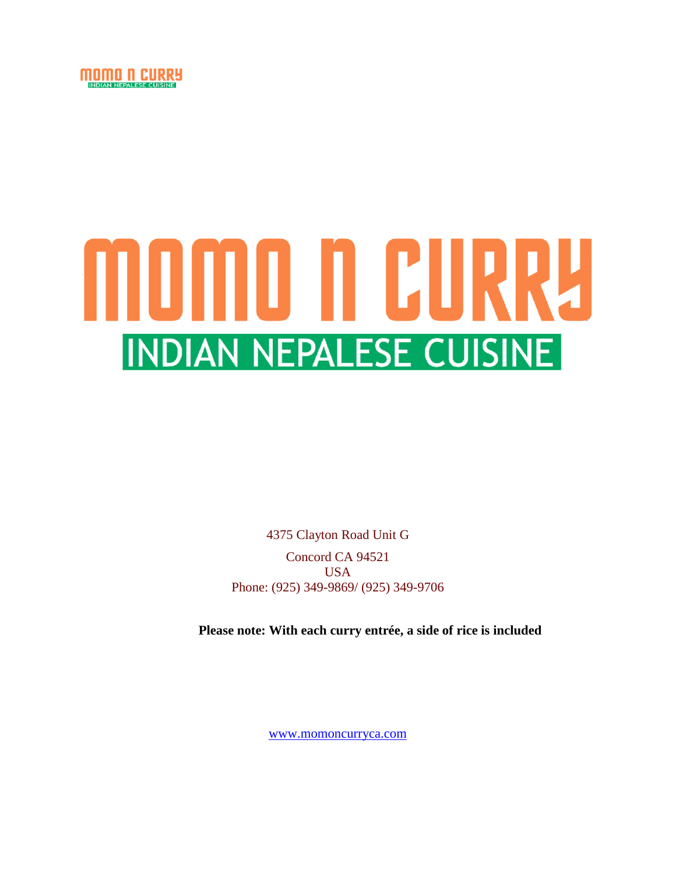

# MOMO N CURRU **INDIAN NEPALESE CUISINE**

4375 Clayton Road Unit G Concord CA 94521 USA Phone: (925) 349-9869/ (925) 349-9706

**Please note: With each curry entrée, a side of rice is included**

[www.momoncurryca.com](http://www.momoncurryca.com/)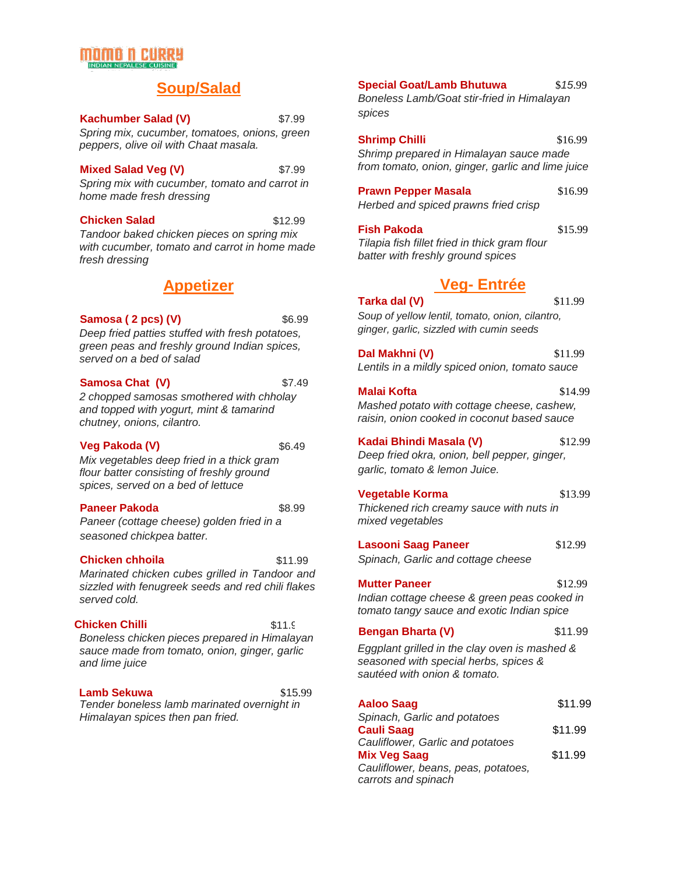# TILITTI TEKI

# **Soup/Salad**

*Spring mix, cucumber, tomatoes, onions, green peppers, olive oil with Chaat masala.* **Kachumber Salad (V)** \$7.99

#### **Mixed Salad Veg (V)** \$7.99

*Spring mix with cucumber, tomato and carrot in home made fresh dressing*

#### **Chicken Salad** \$12.99

*Tandoor baked chicken pieces on spring mix with cucumber, tomato and carrot in home made fresh dressing*

# **Appetizer**

#### **Samosa ( 2 pcs) (V)** \$6.99

*Deep fried patties stuffed with fresh potatoes, green peas and freshly ground Indian spices, served on a bed of salad*

#### **Samosa Chat (V)** \$7.49

*2 chopped samosas smothered with chholay and topped with yogurt, mint & tamarind chutney, onions, cilantro.*

#### **Veg Pakoda (V)** \$6.49

*Mix vegetables deep fried in a thick gram flour batter consisting of freshly ground spices, served on a bed of lettuce*

#### **Paneer Pakoda** \$8.99

*Paneer (cottage cheese) golden fried in a seasoned chickpea batter.*

#### **Chicken chhoila** \$11.99

*Marinated chicken cubes grilled in Tandoor and sizzled with fenugreek seeds and red chili flakes served cold.*

### **Chicken Chilli** \$11.9

*Boneless chicken pieces prepared in Himalayan sauce made from tomato, onion, ginger, garlic and lime juice*

*Tender boneless lamb marinated overnight in Himalayan spices then pan fried.* **Lamb Sekuwa** \$15.99 **Special Goat/Lamb Bhutuwa** \$*15*.99

*Boneless Lamb/Goat stir-fried in Himalayan spices*

**Shrimp Chilli** \$16.99 *Shrimp prepared in Himalayan sauce made from tomato, onion, ginger, garlic and lime juice*

**Prawn Pepper Masala** \$16.99 *Herbed and spiced prawns fried crisp*

**Fish Pakoda** \$15.99 *Tilapia fish fillet fried in thick gram flour batter with freshly ground spices*

# **Veg- Entrée**

**Tarka dal (V)** \$11.99

*Soup of yellow lentil, tomato, onion, cilantro, ginger, garlic, sizzled with cumin seeds*

*Lentils in a mildly spiced onion, tomato sauce* **Dal Makhni (V)** \$11.99

#### **Malai Kofta** \$14.99

*Mashed potato with cottage cheese, cashew, raisin, onion cooked in coconut based sauce*

**Kadai Bhindi Masala (V)** \$12.99 *Deep fried okra, onion, bell pepper, ginger,*

*garlic, tomato & lemon Juice.*

### **Vegetable Korma** \$13.99

*Thickened rich creamy sauce with nuts in mixed vegetables*

**Lasooni Saag Paneer** \$12.99

*Spinach, Garlic and cottage cheese*

**Mutter Paneer** \$12.99

*Indian cottage cheese & green peas cooked in tomato tangy sauce and exotic Indian spice*

### **Bengan Bharta (V)** \$11.99

*Eggplant grilled in the clay oven is mashed & seasoned with special herbs, spices & sautéed with onion & tomato.*

| <b>Aaloo Saag</b>                   | \$11.99 |
|-------------------------------------|---------|
| Spinach, Garlic and potatoes        |         |
| <b>Cauli Saag</b>                   | \$11.99 |
| Cauliflower, Garlic and potatoes    |         |
| <b>Mix Veg Saag</b>                 | \$11.99 |
| Cauliflower, beans, peas, potatoes, |         |
| carrots and spinach                 |         |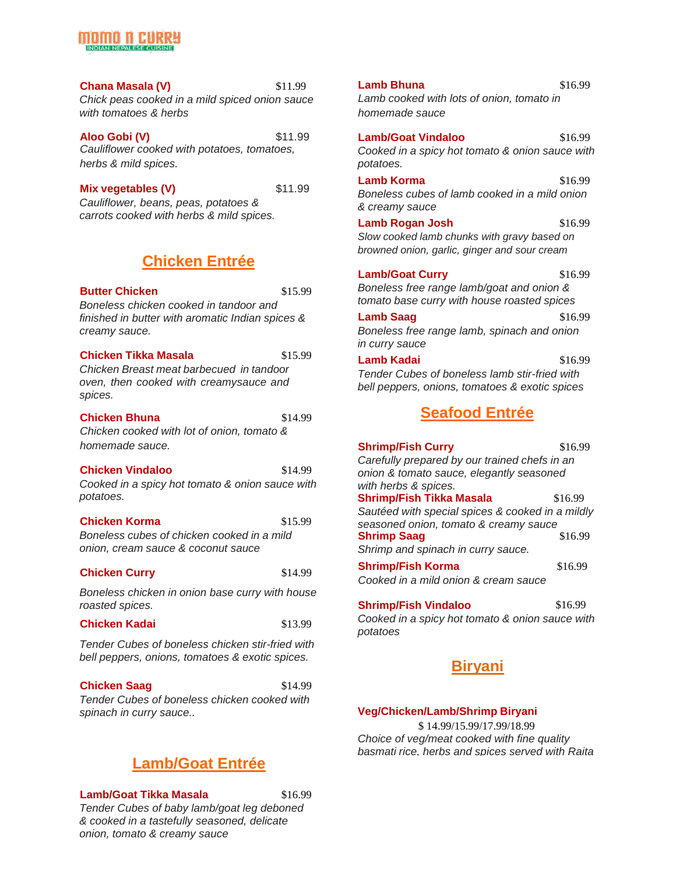#### **Chana Masala (V)** \$11.99

*Chick peas cooked in a mild spiced onion sauce with tomatoes & herbs*

**Aloo Gobi (V)** \$11.99 *Cauliflower cooked with potatoes, tomatoes, herbs & mild spices.*

#### **Mix vegetables (V)**  $$11.99$

*Cauliflower, beans, peas, potatoes & carrots cooked with herbs & mild spices.*

# **Chicken Entrée**

**Butter Chicken** \$15.99

*Boneless chicken cooked in tandoor and finished in butter with aromatic Indian spices & creamy sauce.*

#### **Chicken Tikka Masala** \$15.99

*Chicken Breast meat barbecued in tandoor oven, then cooked with creamysauce and spices.*

#### **Chicken Bhuna** \$14.99

*Chicken cooked with lot of onion, tomato & homemade sauce.*

### **Chicken Vindaloo** \$14.99

*Cooked in a spicy hot tomato & onion sauce with potatoes.*

#### **Chicken Korma** \$15.99

*Boneless cubes of chicken cooked in a mild onion, cream sauce & coconut sauce*

### **Chicken Curry** \$14.99

*Boneless chicken in onion base curry with house roasted spices.*

**Chicken Kadai** \$13.99

*Tender Cubes of boneless chicken stir-fried with bell peppers, onions, tomatoes & exotic spices.*

## **Chicken Saag** \$14.99

*Tender Cubes of boneless chicken cooked with spinach in curry sauce..*

# **Lamb/Goat Entrée**

#### **Lamb/Goat Tikka Masala** \$16.99

*Tender Cubes of baby lamb/goat leg deboned & cooked in a tastefully seasoned, delicate onion, tomato & creamy sauce*

*Cooked in a spicy hot tomato & onion sauce with potatoes.* **Lamb Korma** \$16.99 *Boneless cubes of lamb cooked in a mild onion & creamy sauce* **Lamb Rogan Josh** \$16.99 *Slow cooked lamb chunks with gravy based on browned onion, garlic, ginger and sour cream* **Lamb/Goat Vindaloo** \$16.99

*homemade sauce*

**Lamb/Goat Curry** \$16.99 *Boneless free range lamb/goat and onion & tomato base curry with house roasted spices*

## **Lamb Saag** \$16.99 *Boneless free range lamb, spinach and onion in curry sauce*

**Lamb Kadai** \$16.99 *Tender Cubes of boneless lamb stir-fried with bell peppers, onions, tomatoes & exotic spices*

# **Seafood Entrée**

**Shrimp/Fish Curry** \$16.99 *Carefully prepared by our trained chefs in an onion & tomato sauce, elegantly seasoned with herbs & spices.* **Shrimp/Fish Tikka Masala** \$16.99 *Sautéed with special spices & cooked in a mildly seasoned onion, tomato & creamy sauce*

**Shrimp Saag** \$16.99 *Shrimp and spinach in curry sauce.*

**Shrimp/Fish Korma** \$16.99 *Cooked in a mild onion & cream sauce*

## **Shrimp/Fish Vindaloo** \$16.99 *Cooked in a spicy hot tomato & onion sauce with*

*potatoes*

# **Biryani**

### **Veg/Chicken/Lamb/Shrimp Biryani**

\$ 14.99/15.99/17.99/18.99 *Choice of veg/meat cooked with fine quality basmati rice, herbs and spices served with Raita*

# *Lamb cooked with lots of onion, tomato in*

**Lamb Bhuna** \$16.99